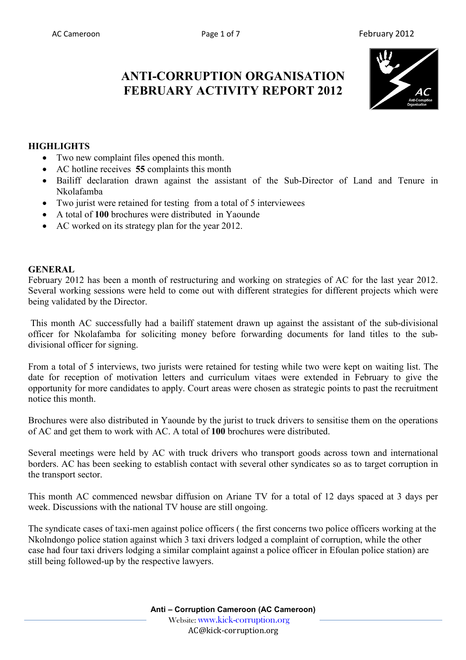# **ANTI-CORRUPTION ORGANISATION FEBRUARY ACTIVITY REPORT 2012**



## **HIGHLIGHTS**

- Two new complaint files opened this month.
- AC hotline receives **55** complaints this month
- Bailiff declaration drawn against the assistant of the Sub-Director of Land and Tenure in Nkolafamba
- Two jurist were retained for testing from a total of 5 interviewees
- A total of **100** brochures were distributed in Yaounde
- AC worked on its strategy plan for the year 2012.

#### **GENERAL**

February 2012 has been a month of restructuring and working on strategies of AC for the last year 2012. Several working sessions were held to come out with different strategies for different projects which were being validated by the Director.

 This month AC successfully had a bailiff statement drawn up against the assistant of the sub-divisional officer for Nkolafamba for soliciting money before forwarding documents for land titles to the subdivisional officer for signing.

From a total of 5 interviews, two jurists were retained for testing while two were kept on waiting list. The date for reception of motivation letters and curriculum vitaes were extended in February to give the opportunity for more candidates to apply. Court areas were chosen as strategic points to past the recruitment notice this month.

Brochures were also distributed in Yaounde by the jurist to truck drivers to sensitise them on the operations of AC and get them to work with AC. A total of **100** brochures were distributed.

Several meetings were held by AC with truck drivers who transport goods across town and international borders. AC has been seeking to establish contact with several other syndicates so as to target corruption in the transport sector.

This month AC commenced newsbar diffusion on Ariane TV for a total of 12 days spaced at 3 days per week. Discussions with the national TV house are still ongoing.

The syndicate cases of taxi-men against police officers ( the first concerns two police officers working at the Nkolndongo police station against which 3 taxi drivers lodged a complaint of corruption, while the other case had four taxi drivers lodging a similar complaint against a police officer in Efoulan police station) are still being followed-up by the respective lawyers.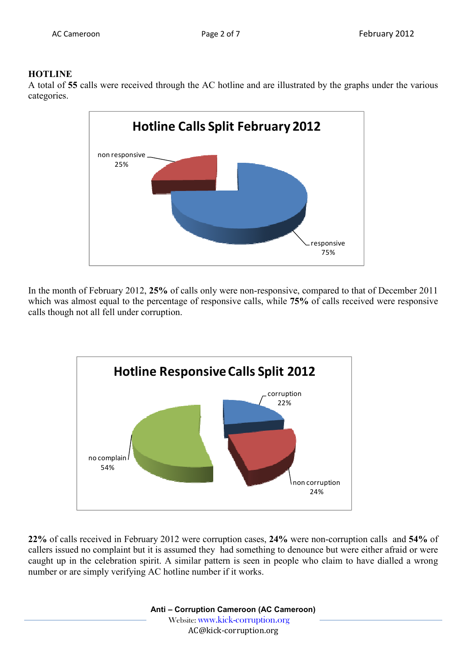#### **HOTLINE**

A total of **55** calls were received through the AC hotline and are illustrated by the graphs under the various categories.



In the month of February 2012, **25%** of calls only were non-responsive, compared to that of December 2011 which was almost equal to the percentage of responsive calls, while **75%** of calls received were responsive calls though not all fell under corruption.



**22%** of calls received in February 2012 were corruption cases, **24%** were non-corruption calls and **54%** of callers issued no complaint but it is assumed they had something to denounce but were either afraid or were caught up in the celebration spirit. A similar pattern is seen in people who claim to have dialled a wrong number or are simply verifying AC hotline number if it works.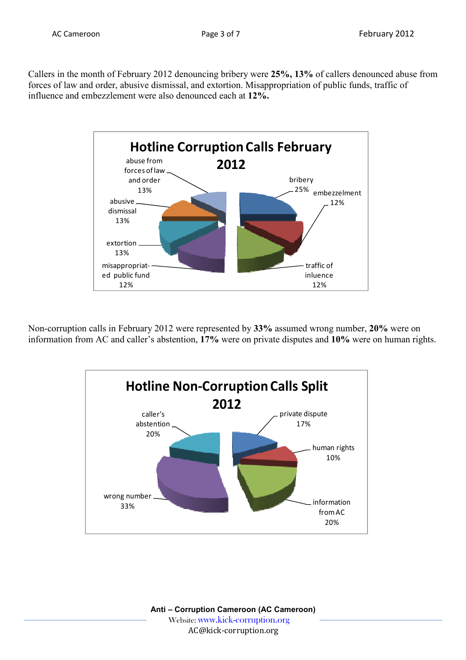Callers in the month of February 2012 denouncing bribery were **25%, 13%** of callers denounced abuse from forces of law and order, abusive dismissal, and extortion. Misappropriation of public funds, traffic of influence and embezzlement were also denounced each at **12%.**



Non-corruption calls in February 2012 were represented by **33%** assumed wrong number, **20%** were on information from AC and caller's abstention, **17%** were on private disputes and **10%** were on human rights.

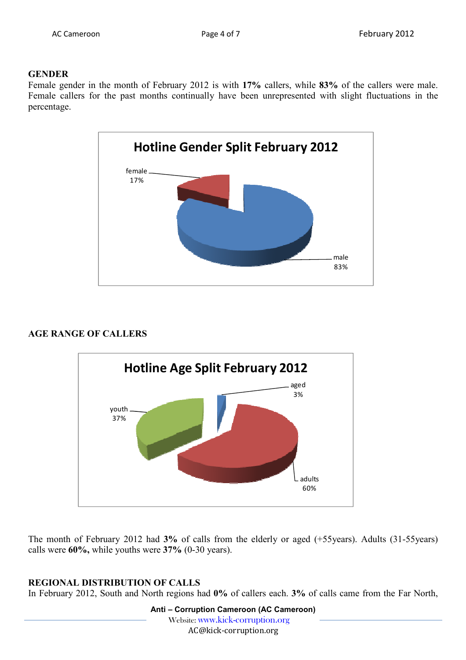#### **GENDER**

Female gender in the month of February 2012 is with **17%** callers, while **83%** of the callers were male. Female callers for the past months continually have been unrepresented with slight fluctuations in the percentage.



# **AGE RANGE OF CALLERS**



The month of February 2012 had **3%** of calls from the elderly or aged (+55years). Adults (31-55years) calls were **60%,** while youths were **37%** (0-30 years).

# **REGIONAL DISTRIBUTION OF CALLS**

In February 2012, South and North regions had **0%** of callers each. **3%** of calls came from the Far North,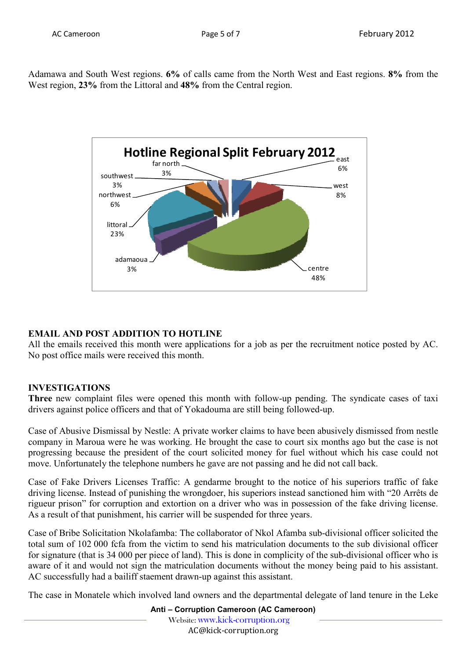Adamawa and South West regions. **6%** of calls came from the North West and East regions. **8%** from the West region, **23%** from the Littoral and **48%** from the Central region.



# **EMAIL AND POST ADDITION TO HOTLINE**

All the emails received this month were applications for a job as per the recruitment notice posted by AC. No post office mails were received this month.

# **INVESTIGATIONS**

**Three** new complaint files were opened this month with follow-up pending. The syndicate cases of taxi drivers against police officers and that of Yokadouma are still being followed-up.

Case of Abusive Dismissal by Nestle: A private worker claims to have been abusively dismissed from nestle company in Maroua were he was working. He brought the case to court six months ago but the case is not progressing because the president of the court solicited money for fuel without which his case could not move. Unfortunately the telephone numbers he gave are not passing and he did not call back.

Case of Fake Drivers Licenses Traffic: A gendarme brought to the notice of his superiors traffic of fake driving license. Instead of punishing the wrongdoer, his superiors instead sanctioned him with "20 Arrêts de rigueur prison" for corruption and extortion on a driver who was in possession of the fake driving license. As a result of that punishment, his carrier will be suspended for three years.

Case of Bribe Solicitation Nkolafamba: The collaborator of Nkol Afamba sub-divisional officer solicited the total sum of 102 000 fcfa from the victim to send his matriculation documents to the sub divisional officer for signature (that is 34 000 per piece of land). This is done in complicity of the sub-divisional officer who is aware of it and would not sign the matriculation documents without the money being paid to his assistant. AC successfully had a bailiff staement drawn-up against this assistant.

The case in Monatele which involved land owners and the departmental delegate of land tenure in the Leke

**Anti – Corruption Cameroon (AC Cameroon)** Website: www.kick-corruption.org AC@kick-corruption.org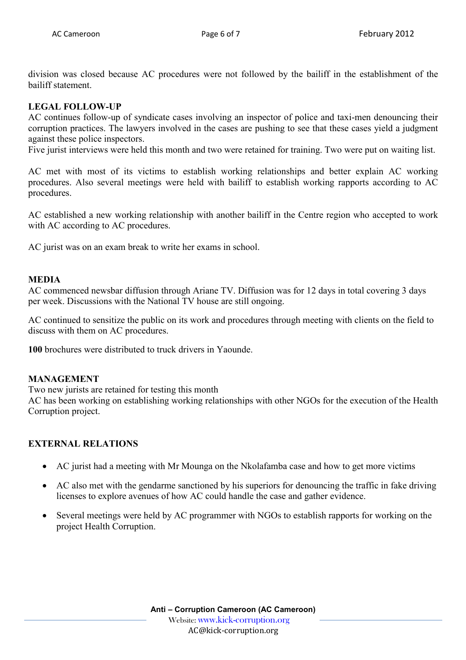division was closed because AC procedures were not followed by the bailiff in the establishment of the bailiff statement.

# **LEGAL FOLLOW-UP**

AC continues follow-up of syndicate cases involving an inspector of police and taxi-men denouncing their corruption practices. The lawyers involved in the cases are pushing to see that these cases yield a judgment against these police inspectors.

Five jurist interviews were held this month and two were retained for training. Two were put on waiting list.

AC met with most of its victims to establish working relationships and better explain AC working procedures. Also several meetings were held with bailiff to establish working rapports according to AC procedures.

AC established a new working relationship with another bailiff in the Centre region who accepted to work with AC according to AC procedures.

AC jurist was on an exam break to write her exams in school.

#### **MEDIA**

AC commenced newsbar diffusion through Ariane TV. Diffusion was for 12 days in total covering 3 days per week. Discussions with the National TV house are still ongoing.

AC continued to sensitize the public on its work and procedures through meeting with clients on the field to discuss with them on AC procedures.

**100** brochures were distributed to truck drivers in Yaounde.

#### **MANAGEMENT**

Two new jurists are retained for testing this month

AC has been working on establishing working relationships with other NGOs for the execution of the Health Corruption project.

#### **EXTERNAL RELATIONS**

- AC jurist had a meeting with Mr Mounga on the Nkolafamba case and how to get more victims
- AC also met with the gendarme sanctioned by his superiors for denouncing the traffic in fake driving licenses to explore avenues of how AC could handle the case and gather evidence.
- Several meetings were held by AC programmer with NGOs to establish rapports for working on the project Health Corruption.